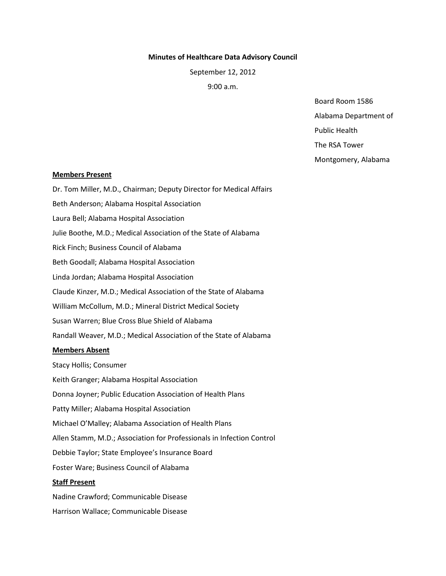## **Minutes of Healthcare Data Advisory Council**

September 12, 2012

9:00 a.m.

Board Room 1586 Alabama Department of

Public Health

The RSA Tower

Montgomery, Alabama

## **Members Present**

Dr. Tom Miller, M.D., Chairman; Deputy Director for Medical Affairs Beth Anderson; Alabama Hospital Association Laura Bell; Alabama Hospital Association Julie Boothe, M.D.; Medical Association of the State of Alabama Rick Finch; Business Council of Alabama Beth Goodall; Alabama Hospital Association Linda Jordan; Alabama Hospital Association Claude Kinzer, M.D.; Medical Association of the State of Alabama William McCollum, M.D.; Mineral District Medical Society Susan Warren; Blue Cross Blue Shield of Alabama Randall Weaver, M.D.; Medical Association of the State of Alabama **Members Absent** Stacy Hollis; Consumer Keith Granger; Alabama Hospital Association Donna Joyner; Public Education Association of Health Plans Patty Miller; Alabama Hospital Association Michael O'Malley; Alabama Association of Health Plans Allen Stamm, M.D.; Association for Professionals in Infection Control Debbie Taylor; State Employee's Insurance Board Foster Ware; Business Council of Alabama **Staff Present** Nadine Crawford; Communicable Disease

Harrison Wallace; Communicable Disease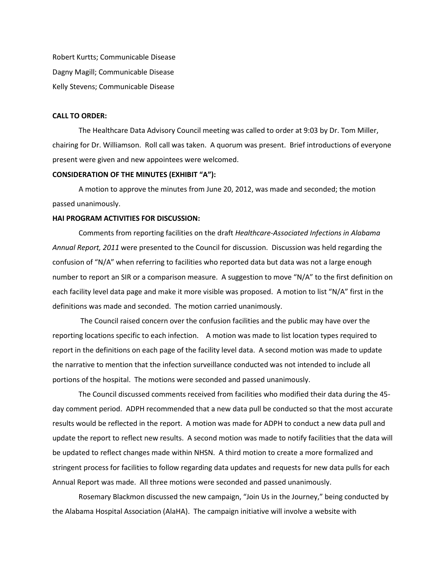Robert Kurtts; Communicable Disease Dagny Magill; Communicable Disease Kelly Stevens; Communicable Disease

## **CALL TO ORDER:**

The Healthcare Data Advisory Council meeting was called to order at 9:03 by Dr. Tom Miller, chairing for Dr. Williamson. Roll call was taken. A quorum was present. Brief introductions of everyone present were given and new appointees were welcomed.

#### **CONSIDERATION OF THE MINUTES (EXHIBIT "A"):**

A motion to approve the minutes from June 20, 2012, was made and seconded; the motion passed unanimously.

## **HAI PROGRAM ACTIVITIES FOR DISCUSSION:**

Comments from reporting facilities on the draft *Healthcare-Associated Infections in Alabama Annual Report, 2011* were presented to the Council for discussion. Discussion was held regarding the confusion of "N/A" when referring to facilities who reported data but data was not a large enough number to report an SIR or a comparison measure. A suggestion to move "N/A" to the first definition on each facility level data page and make it more visible was proposed. A motion to list "N/A" first in the definitions was made and seconded. The motion carried unanimously.

The Council raised concern over the confusion facilities and the public may have over the reporting locations specific to each infection. A motion was made to list location types required to report in the definitions on each page of the facility level data. A second motion was made to update the narrative to mention that the infection surveillance conducted was not intended to include all portions of the hospital. The motions were seconded and passed unanimously.

The Council discussed comments received from facilities who modified their data during the 45 day comment period. ADPH recommended that a new data pull be conducted so that the most accurate results would be reflected in the report. A motion was made for ADPH to conduct a new data pull and update the report to reflect new results. A second motion was made to notify facilities that the data will be updated to reflect changes made within NHSN. A third motion to create a more formalized and stringent process for facilities to follow regarding data updates and requests for new data pulls for each Annual Report was made. All three motions were seconded and passed unanimously.

Rosemary Blackmon discussed the new campaign, "Join Us in the Journey," being conducted by the Alabama Hospital Association (AlaHA). The campaign initiative will involve a website with